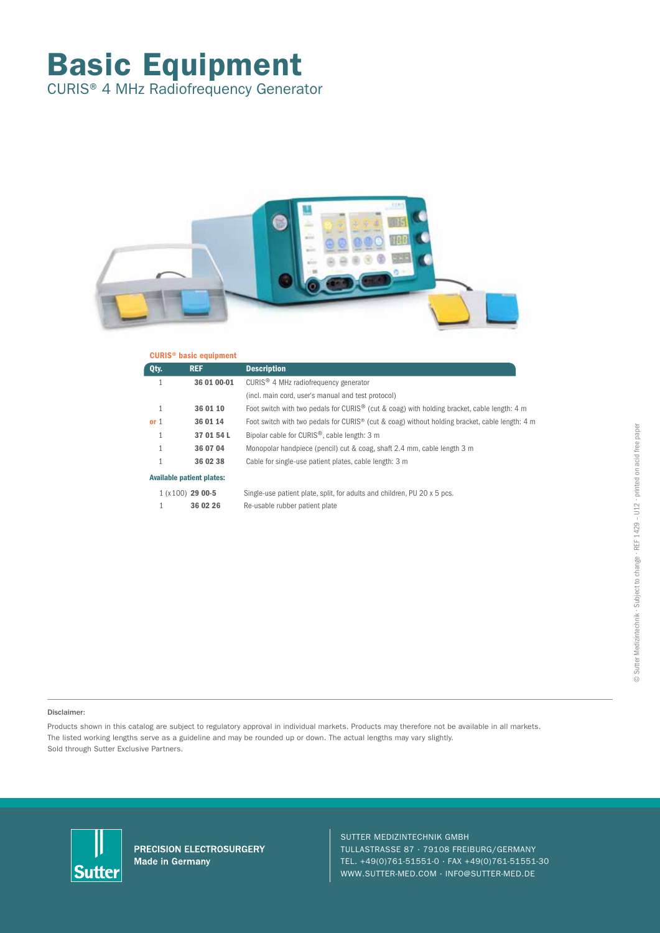# Basic Equipment

CURIS® 4 MHz Radiofrequency Generator



| <b>CURIS<sup>®</sup> basic equipment</b> |                                  |                                                                                                         |  |  |
|------------------------------------------|----------------------------------|---------------------------------------------------------------------------------------------------------|--|--|
| Qty.                                     | <b>REF</b>                       | <b>Description</b>                                                                                      |  |  |
| $\mathbf{1}$                             | 36 01 00-01                      | CURIS <sup>®</sup> 4 MHz radiofrequency generator                                                       |  |  |
|                                          |                                  | (incl. main cord, user's manual and test protocol)                                                      |  |  |
| $\mathbf{1}$                             | 36 01 10                         | Foot switch with two pedals for CURIS <sup>®</sup> (cut & coag) with holding bracket, cable length: 4 m |  |  |
| or 1                                     | 36 01 14                         | Foot switch with two pedals for CURIS® (cut & coag) without holding bracket, cable length: 4 m          |  |  |
|                                          | 37 01 54 L                       | Bipolar cable for CURIS <sup>®</sup> , cable length: 3 m                                                |  |  |
|                                          | 36 07 04                         | Monopolar handpiece (pencil) cut & coag, shaft 2.4 mm, cable length 3 m                                 |  |  |
|                                          | 36 02 38                         | Cable for single-use patient plates, cable length: 3 m                                                  |  |  |
|                                          | <b>Available patient plates:</b> |                                                                                                         |  |  |
|                                          | $1(x100)$ 29 00-5                | Single-use patient plate, split, for adults and children, PU 20 x 5 pcs.                                |  |  |
|                                          | 36 02 26                         | Re-usable rubber patient plate                                                                          |  |  |
|                                          |                                  |                                                                                                         |  |  |

### Disclaimer:

Products shown in this catalog are subject to regulatory approval in individual markets. Products may therefore not be available in all markets. The listed working lengths serve as a guideline and may be rounded up or down. The actual lengths may vary slightly. Sold through Sutter Exclusive Partners.



PRECISION ELECTROSURGERY **Made in Germany** 

#### SUTTER MEDIZINTECHNIK GMBH

TULLASTRASSE 87 · 79108 FREIBURG/GERMANY TEL. +49(0)761-51551-0 · FAX +49(0)761-51551-30 WWW.SUTTER-MED.COM · INFO@SUTTER-MED.DE